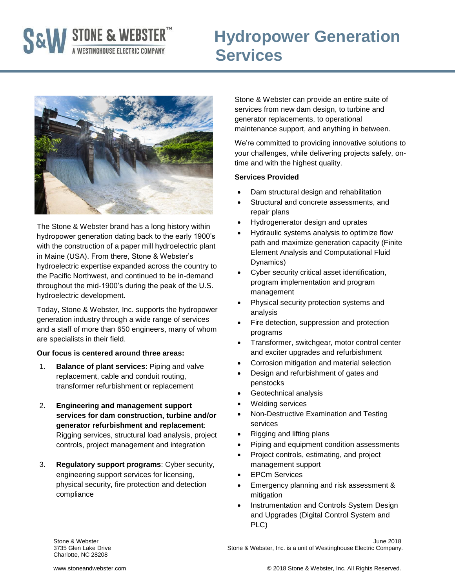# **S&W** STONE & WEBSTER<sup>TM</sup> Hydropov

# **Hydropower Generation**



The Stone & Webster brand has a long history within hydropower generation dating back to the early 1900's with the construction of a paper mill hydroelectric plant in Maine (USA). From there, Stone & Webster's hydroelectric expertise expanded across the country to the Pacific Northwest, and continued to be in-demand throughout the mid-1900's during the peak of the U.S. hydroelectric development.

Today, Stone & Webster, Inc. supports the hydropower generation industry through a wide range of services and a staff of more than 650 engineers, many of whom are specialists in their field.

#### **Our focus is centered around three areas:**

- 1. **Balance of plant services**: Piping and valve replacement, cable and conduit routing, transformer refurbishment or replacement
- 2. **Engineering and management support services for dam construction, turbine and/or generator refurbishment and replacement**: Rigging services, structural load analysis, project controls, project management and integration
- 3. **Regulatory support programs**: Cyber security, engineering support services for licensing, physical security, fire protection and detection compliance

Stone & Webster can provide an entire suite of services from new dam design, to turbine and generator replacements, to operational maintenance support, and anything in between.

We're committed to providing innovative solutions to your challenges, while delivering projects safely, ontime and with the highest quality.

#### **Services Provided**

- Dam structural design and rehabilitation
- Structural and concrete assessments, and repair plans
- Hydrogenerator design and uprates
- Hydraulic systems analysis to optimize flow path and maximize generation capacity (Finite Element Analysis and Computational Fluid Dynamics)
- Cyber security critical asset identification, program implementation and program management
- Physical security protection systems and analysis
- Fire detection, suppression and protection programs
- Transformer, switchgear, motor control center and exciter upgrades and refurbishment
- Corrosion mitigation and material selection
- Design and refurbishment of gates and penstocks
- Geotechnical analysis
- Welding services
- Non-Destructive Examination and Testing services
- Rigging and lifting plans
- Piping and equipment condition assessments
- Project controls, estimating, and project management support
- EPCm Services
- Emergency planning and risk assessment & mitigation
- Instrumentation and Controls System Design and Upgrades (Digital Control System and PLC)

Charlotte, NC 28208

Stone & Webster June 2018 3735 Glen Lake Drive Stone & Webster, Inc. is a unit of Westinghouse Electric Company.